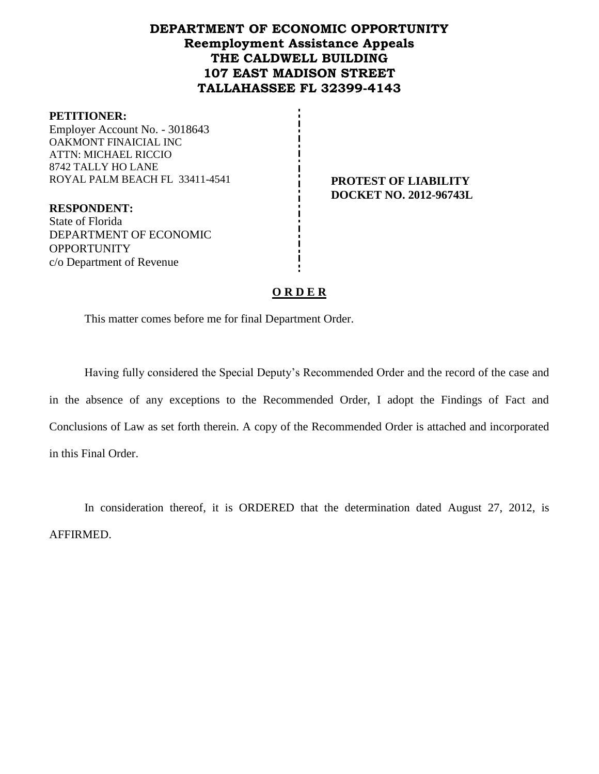# **DEPARTMENT OF ECONOMIC OPPORTUNITY Reemployment Assistance Appeals THE CALDWELL BUILDING 107 EAST MADISON STREET TALLAHASSEE FL 32399-4143**

#### **PETITIONER:**

Employer Account No. - 3018643 OAKMONT FINAICIAL INC ATTN: MICHAEL RICCIO 8742 TALLY HO LANE ROYAL PALM BEACH FL 33411-4541 **PROTEST OF LIABILITY**

**DOCKET NO. 2012-96743L**

**RESPONDENT:** State of Florida DEPARTMENT OF ECONOMIC **OPPORTUNITY** c/o Department of Revenue

## **O R D E R**

This matter comes before me for final Department Order.

Having fully considered the Special Deputy's Recommended Order and the record of the case and in the absence of any exceptions to the Recommended Order, I adopt the Findings of Fact and Conclusions of Law as set forth therein. A copy of the Recommended Order is attached and incorporated in this Final Order.

In consideration thereof, it is ORDERED that the determination dated August 27, 2012, is AFFIRMED.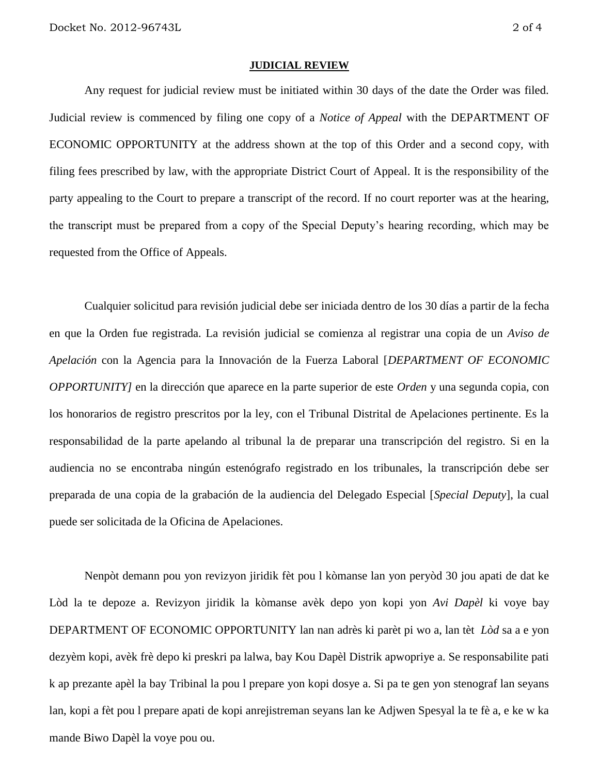#### **JUDICIAL REVIEW**

Any request for judicial review must be initiated within 30 days of the date the Order was filed. Judicial review is commenced by filing one copy of a *Notice of Appeal* with the DEPARTMENT OF ECONOMIC OPPORTUNITY at the address shown at the top of this Order and a second copy, with filing fees prescribed by law, with the appropriate District Court of Appeal. It is the responsibility of the party appealing to the Court to prepare a transcript of the record. If no court reporter was at the hearing, the transcript must be prepared from a copy of the Special Deputy's hearing recording, which may be requested from the Office of Appeals.

Cualquier solicitud para revisión judicial debe ser iniciada dentro de los 30 días a partir de la fecha en que la Orden fue registrada. La revisión judicial se comienza al registrar una copia de un *Aviso de Apelación* con la Agencia para la Innovación de la Fuerza Laboral [*DEPARTMENT OF ECONOMIC OPPORTUNITY]* en la dirección que aparece en la parte superior de este *Orden* y una segunda copia, con los honorarios de registro prescritos por la ley, con el Tribunal Distrital de Apelaciones pertinente. Es la responsabilidad de la parte apelando al tribunal la de preparar una transcripción del registro. Si en la audiencia no se encontraba ningún estenógrafo registrado en los tribunales, la transcripción debe ser preparada de una copia de la grabación de la audiencia del Delegado Especial [*Special Deputy*], la cual puede ser solicitada de la Oficina de Apelaciones.

Nenpòt demann pou yon revizyon jiridik fèt pou l kòmanse lan yon peryòd 30 jou apati de dat ke Lòd la te depoze a. Revizyon jiridik la kòmanse avèk depo yon kopi yon *Avi Dapèl* ki voye bay DEPARTMENT OF ECONOMIC OPPORTUNITY lan nan adrès ki parèt pi wo a, lan tèt *Lòd* sa a e yon dezyèm kopi, avèk frè depo ki preskri pa lalwa, bay Kou Dapèl Distrik apwopriye a. Se responsabilite pati k ap prezante apèl la bay Tribinal la pou l prepare yon kopi dosye a. Si pa te gen yon stenograf lan seyans lan, kopi a fèt pou l prepare apati de kopi anrejistreman seyans lan ke Adjwen Spesyal la te fè a, e ke w ka mande Biwo Dapèl la voye pou ou.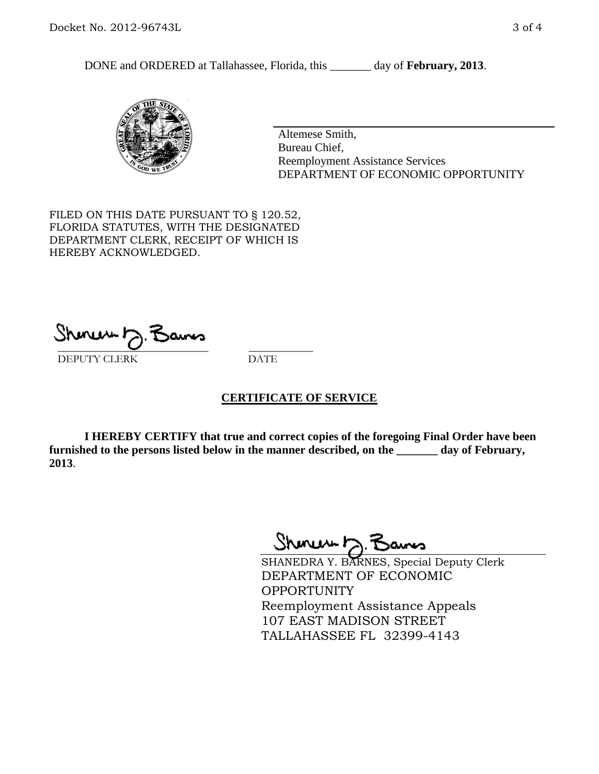DONE and ORDERED at Tallahassee, Florida, this \_\_\_\_\_\_\_ day of **February, 2013**.



Altemese Smith, Bureau Chief, Reemployment Assistance Services DEPARTMENT OF ECONOMIC OPPORTUNITY

FILED ON THIS DATE PURSUANT TO § 120.52, FLORIDA STATUTES, WITH THE DESIGNATED DEPARTMENT CLERK, RECEIPT OF WHICH IS HEREBY ACKNOWLEDGED.

 $\overline{\phantom{a}}$  ,  $\overline{\phantom{a}}$  ,  $\overline{\phantom{a}}$  ,  $\overline{\phantom{a}}$  ,  $\overline{\phantom{a}}$  ,  $\overline{\phantom{a}}$  ,  $\overline{\phantom{a}}$  ,  $\overline{\phantom{a}}$ DEPUTY CLERK DATE

### **CERTIFICATE OF SERVICE**

**I HEREBY CERTIFY that true and correct copies of the foregoing Final Order have been furnished to the persons listed below in the manner described, on the \_\_\_\_\_\_\_ day of February, 2013**.

Shoner D. Bans

SHANEDRA Y. BARNES, Special Deputy Clerk DEPARTMENT OF ECONOMIC OPPORTUNITY Reemployment Assistance Appeals 107 EAST MADISON STREET TALLAHASSEE FL 32399-4143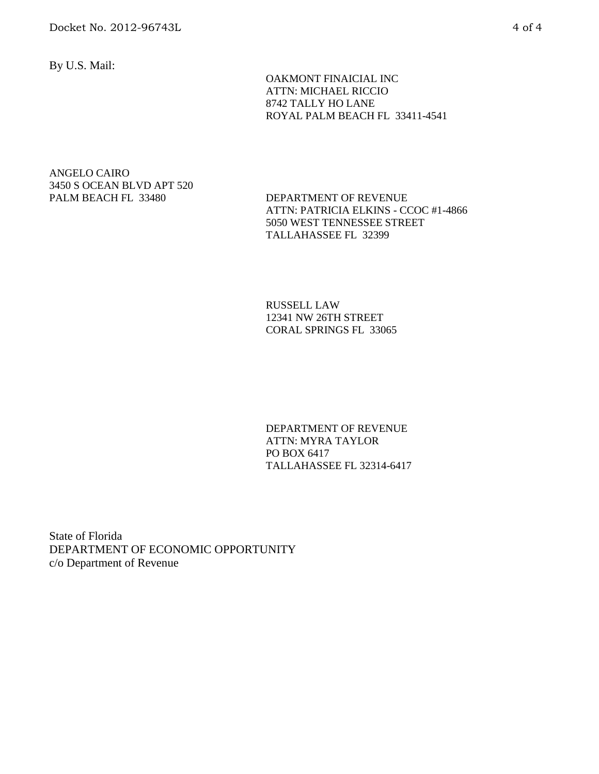By U.S. Mail:

 OAKMONT FINAICIAL INC ATTN: MICHAEL RICCIO 8742 TALLY HO LANE ROYAL PALM BEACH FL 33411-4541

#### ANGELO CAIRO 3450 S OCEAN BLVD APT 520 PALM BEACH FL 33480 DEPARTMENT OF REVENUE

ATTN: PATRICIA ELKINS - CCOC #1-4866 5050 WEST TENNESSEE STREET TALLAHASSEE FL 32399

RUSSELL LAW 12341 NW 26TH STREET CORAL SPRINGS FL 33065

DEPARTMENT OF REVENUE ATTN: MYRA TAYLOR PO BOX 6417 TALLAHASSEE FL 32314-6417

State of Florida DEPARTMENT OF ECONOMIC OPPORTUNITY c/o Department of Revenue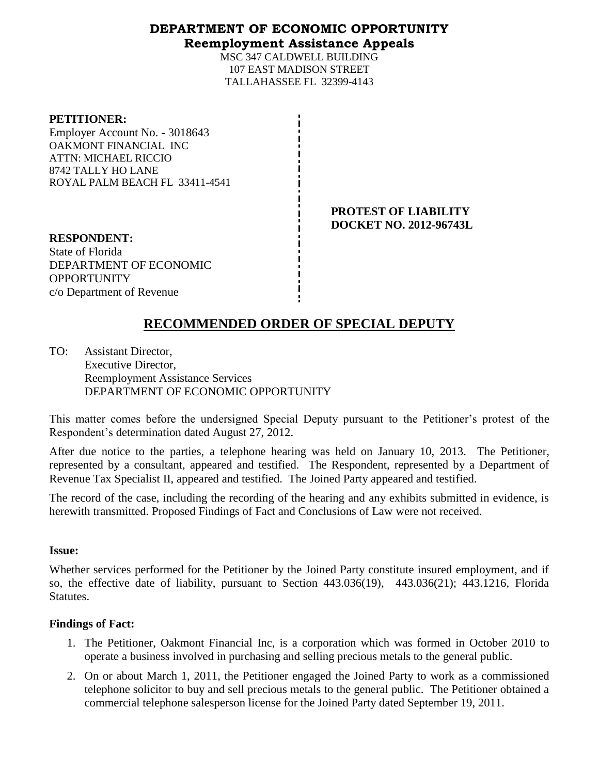## **DEPARTMENT OF ECONOMIC OPPORTUNITY Reemployment Assistance Appeals**

MSC 347 CALDWELL BUILDING 107 EAST MADISON STREET TALLAHASSEE FL 32399-4143

#### **PETITIONER:**

Employer Account No. - 3018643 OAKMONT FINANCIAL INC ATTN: MICHAEL RICCIO 8742 TALLY HO LANE ROYAL PALM BEACH FL 33411-4541

> **PROTEST OF LIABILITY DOCKET NO. 2012-96743L**

**RESPONDENT:** State of Florida DEPARTMENT OF ECONOMIC **OPPORTUNITY** c/o Department of Revenue

# **RECOMMENDED ORDER OF SPECIAL DEPUTY**

TO: Assistant Director, Executive Director, Reemployment Assistance Services DEPARTMENT OF ECONOMIC OPPORTUNITY

This matter comes before the undersigned Special Deputy pursuant to the Petitioner's protest of the Respondent's determination dated August 27, 2012.

After due notice to the parties, a telephone hearing was held on January 10, 2013. The Petitioner, represented by a consultant, appeared and testified. The Respondent, represented by a Department of Revenue Tax Specialist II, appeared and testified. The Joined Party appeared and testified.

The record of the case, including the recording of the hearing and any exhibits submitted in evidence, is herewith transmitted. Proposed Findings of Fact and Conclusions of Law were not received.

### **Issue:**

Whether services performed for the Petitioner by the Joined Party constitute insured employment, and if so, the effective date of liability, pursuant to Section 443.036(19), 443.036(21); 443.1216, Florida Statutes.

### **Findings of Fact:**

- 1. The Petitioner, Oakmont Financial Inc, is a corporation which was formed in October 2010 to operate a business involved in purchasing and selling precious metals to the general public.
- 2. On or about March 1, 2011, the Petitioner engaged the Joined Party to work as a commissioned telephone solicitor to buy and sell precious metals to the general public. The Petitioner obtained a commercial telephone salesperson license for the Joined Party dated September 19, 2011.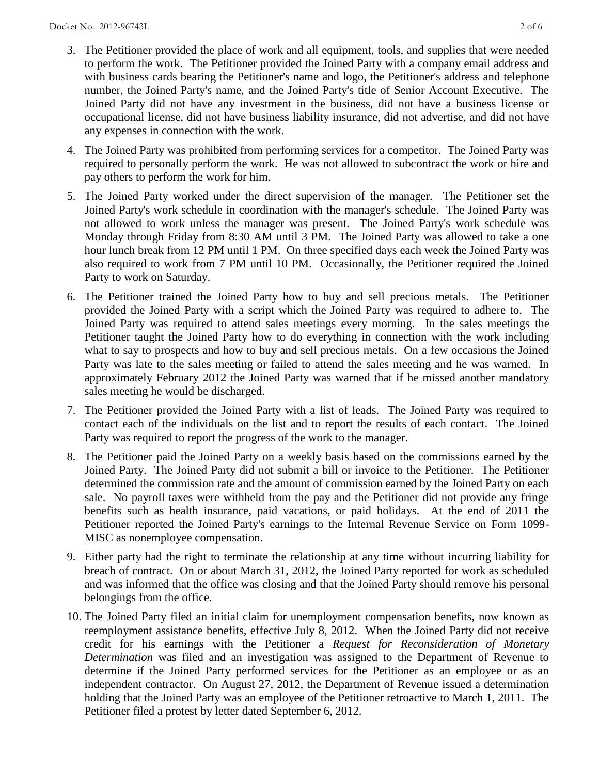- 3. The Petitioner provided the place of work and all equipment, tools, and supplies that were needed to perform the work. The Petitioner provided the Joined Party with a company email address and with business cards bearing the Petitioner's name and logo, the Petitioner's address and telephone number, the Joined Party's name, and the Joined Party's title of Senior Account Executive. The Joined Party did not have any investment in the business, did not have a business license or occupational license, did not have business liability insurance, did not advertise, and did not have any expenses in connection with the work.
- 4. The Joined Party was prohibited from performing services for a competitor. The Joined Party was required to personally perform the work. He was not allowed to subcontract the work or hire and pay others to perform the work for him.
- 5. The Joined Party worked under the direct supervision of the manager. The Petitioner set the Joined Party's work schedule in coordination with the manager's schedule. The Joined Party was not allowed to work unless the manager was present. The Joined Party's work schedule was Monday through Friday from 8:30 AM until 3 PM. The Joined Party was allowed to take a one hour lunch break from 12 PM until 1 PM. On three specified days each week the Joined Party was also required to work from 7 PM until 10 PM. Occasionally, the Petitioner required the Joined Party to work on Saturday.
- 6. The Petitioner trained the Joined Party how to buy and sell precious metals. The Petitioner provided the Joined Party with a script which the Joined Party was required to adhere to. The Joined Party was required to attend sales meetings every morning. In the sales meetings the Petitioner taught the Joined Party how to do everything in connection with the work including what to say to prospects and how to buy and sell precious metals. On a few occasions the Joined Party was late to the sales meeting or failed to attend the sales meeting and he was warned. In approximately February 2012 the Joined Party was warned that if he missed another mandatory sales meeting he would be discharged.
- 7. The Petitioner provided the Joined Party with a list of leads. The Joined Party was required to contact each of the individuals on the list and to report the results of each contact. The Joined Party was required to report the progress of the work to the manager.
- 8. The Petitioner paid the Joined Party on a weekly basis based on the commissions earned by the Joined Party. The Joined Party did not submit a bill or invoice to the Petitioner. The Petitioner determined the commission rate and the amount of commission earned by the Joined Party on each sale. No payroll taxes were withheld from the pay and the Petitioner did not provide any fringe benefits such as health insurance, paid vacations, or paid holidays. At the end of 2011 the Petitioner reported the Joined Party's earnings to the Internal Revenue Service on Form 1099- MISC as nonemployee compensation.
- 9. Either party had the right to terminate the relationship at any time without incurring liability for breach of contract. On or about March 31, 2012, the Joined Party reported for work as scheduled and was informed that the office was closing and that the Joined Party should remove his personal belongings from the office.
- 10. The Joined Party filed an initial claim for unemployment compensation benefits, now known as reemployment assistance benefits, effective July 8, 2012. When the Joined Party did not receive credit for his earnings with the Petitioner a *Request for Reconsideration of Monetary Determination* was filed and an investigation was assigned to the Department of Revenue to determine if the Joined Party performed services for the Petitioner as an employee or as an independent contractor. On August 27, 2012, the Department of Revenue issued a determination holding that the Joined Party was an employee of the Petitioner retroactive to March 1, 2011. The Petitioner filed a protest by letter dated September 6, 2012.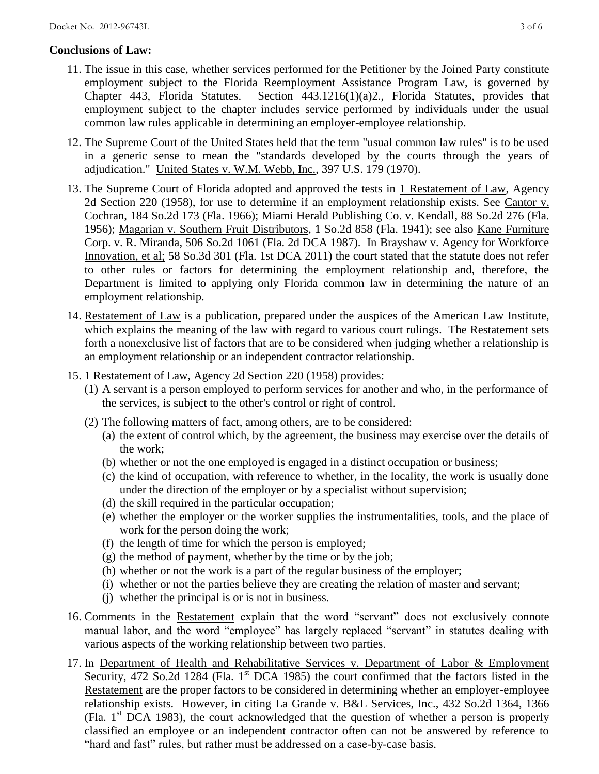## **Conclusions of Law:**

- 11. The issue in this case, whether services performed for the Petitioner by the Joined Party constitute employment subject to the Florida Reemployment Assistance Program Law, is governed by Chapter 443, Florida Statutes. Section 443.1216(1)(a)2., Florida Statutes, provides that employment subject to the chapter includes service performed by individuals under the usual common law rules applicable in determining an employer-employee relationship.
- 12. The Supreme Court of the United States held that the term "usual common law rules" is to be used in a generic sense to mean the "standards developed by the courts through the years of adjudication." United States v. W.M. Webb, Inc., 397 U.S. 179 (1970).
- 13. The Supreme Court of Florida adopted and approved the tests in 1 Restatement of Law, Agency 2d Section 220 (1958), for use to determine if an employment relationship exists. See Cantor v. Cochran, 184 So.2d 173 (Fla. 1966); Miami Herald Publishing Co. v. Kendall, 88 So.2d 276 (Fla. 1956); Magarian v. Southern Fruit Distributors, 1 So.2d 858 (Fla. 1941); see also Kane Furniture Corp. v. R. Miranda, 506 So.2d 1061 (Fla. 2d DCA 1987). In Brayshaw v. Agency for Workforce Innovation, et al; 58 So.3d 301 (Fla. 1st DCA 2011) the court stated that the statute does not refer to other rules or factors for determining the employment relationship and, therefore, the Department is limited to applying only Florida common law in determining the nature of an employment relationship.
- 14. Restatement of Law is a publication, prepared under the auspices of the American Law Institute, which explains the meaning of the law with regard to various court rulings. The Restatement sets forth a nonexclusive list of factors that are to be considered when judging whether a relationship is an employment relationship or an independent contractor relationship.
- 15. 1 Restatement of Law, Agency 2d Section 220 (1958) provides:
	- (1) A servant is a person employed to perform services for another and who, in the performance of the services, is subject to the other's control or right of control.
	- (2) The following matters of fact, among others, are to be considered:
		- (a) the extent of control which, by the agreement, the business may exercise over the details of the work;
		- (b) whether or not the one employed is engaged in a distinct occupation or business;
		- (c) the kind of occupation, with reference to whether, in the locality, the work is usually done under the direction of the employer or by a specialist without supervision;
		- (d) the skill required in the particular occupation;
		- (e) whether the employer or the worker supplies the instrumentalities, tools, and the place of work for the person doing the work;
		- (f) the length of time for which the person is employed;
		- (g) the method of payment, whether by the time or by the job;
		- (h) whether or not the work is a part of the regular business of the employer;
		- (i) whether or not the parties believe they are creating the relation of master and servant;
		- (j) whether the principal is or is not in business.
- 16. Comments in the Restatement explain that the word "servant" does not exclusively connote manual labor, and the word "employee" has largely replaced "servant" in statutes dealing with various aspects of the working relationship between two parties.
- 17. In Department of Health and Rehabilitative Services v. Department of Labor & Employment Security, 472 So.2d 1284 (Fla. 1<sup>st</sup> DCA 1985) the court confirmed that the factors listed in the Restatement are the proper factors to be considered in determining whether an employer-employee relationship exists. However, in citing La Grande v. B&L Services, Inc., 432 So.2d 1364, 1366 (Fla. 1st DCA 1983), the court acknowledged that the question of whether a person is properly classified an employee or an independent contractor often can not be answered by reference to "hard and fast" rules, but rather must be addressed on a case-by-case basis.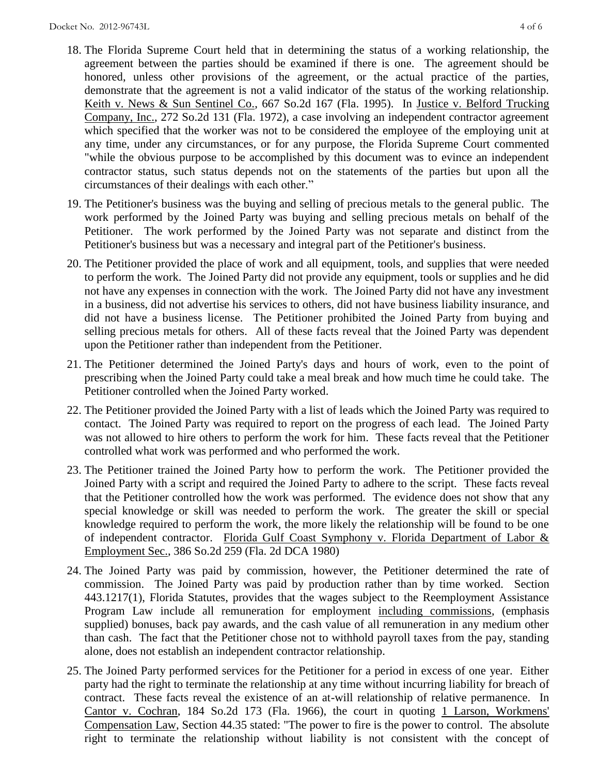- 18. The Florida Supreme Court held that in determining the status of a working relationship, the agreement between the parties should be examined if there is one. The agreement should be honored, unless other provisions of the agreement, or the actual practice of the parties, demonstrate that the agreement is not a valid indicator of the status of the working relationship. Keith v. News & Sun Sentinel Co., 667 So.2d 167 (Fla. 1995). In Justice v. Belford Trucking Company, Inc., 272 So.2d 131 (Fla. 1972), a case involving an independent contractor agreement which specified that the worker was not to be considered the employee of the employing unit at any time, under any circumstances, or for any purpose, the Florida Supreme Court commented "while the obvious purpose to be accomplished by this document was to evince an independent contractor status, such status depends not on the statements of the parties but upon all the circumstances of their dealings with each other."
- 19. The Petitioner's business was the buying and selling of precious metals to the general public. The work performed by the Joined Party was buying and selling precious metals on behalf of the Petitioner. The work performed by the Joined Party was not separate and distinct from the Petitioner's business but was a necessary and integral part of the Petitioner's business.
- 20. The Petitioner provided the place of work and all equipment, tools, and supplies that were needed to perform the work. The Joined Party did not provide any equipment, tools or supplies and he did not have any expenses in connection with the work. The Joined Party did not have any investment in a business, did not advertise his services to others, did not have business liability insurance, and did not have a business license. The Petitioner prohibited the Joined Party from buying and selling precious metals for others. All of these facts reveal that the Joined Party was dependent upon the Petitioner rather than independent from the Petitioner.
- 21. The Petitioner determined the Joined Party's days and hours of work, even to the point of prescribing when the Joined Party could take a meal break and how much time he could take. The Petitioner controlled when the Joined Party worked.
- 22. The Petitioner provided the Joined Party with a list of leads which the Joined Party was required to contact. The Joined Party was required to report on the progress of each lead. The Joined Party was not allowed to hire others to perform the work for him. These facts reveal that the Petitioner controlled what work was performed and who performed the work.
- 23. The Petitioner trained the Joined Party how to perform the work. The Petitioner provided the Joined Party with a script and required the Joined Party to adhere to the script. These facts reveal that the Petitioner controlled how the work was performed. The evidence does not show that any special knowledge or skill was needed to perform the work. The greater the skill or special knowledge required to perform the work, the more likely the relationship will be found to be one of independent contractor. Florida Gulf Coast Symphony v. Florida Department of Labor & Employment Sec., 386 So.2d 259 (Fla. 2d DCA 1980)
- 24. The Joined Party was paid by commission, however, the Petitioner determined the rate of commission. The Joined Party was paid by production rather than by time worked. Section 443.1217(1), Florida Statutes, provides that the wages subject to the Reemployment Assistance Program Law include all remuneration for employment including commissions, (emphasis supplied) bonuses, back pay awards, and the cash value of all remuneration in any medium other than cash. The fact that the Petitioner chose not to withhold payroll taxes from the pay, standing alone, does not establish an independent contractor relationship.
- 25. The Joined Party performed services for the Petitioner for a period in excess of one year. Either party had the right to terminate the relationship at any time without incurring liability for breach of contract. These facts reveal the existence of an at-will relationship of relative permanence. In Cantor v. Cochran, 184 So.2d 173 (Fla. 1966), the court in quoting 1 Larson, Workmens' Compensation Law, Section 44.35 stated: "The power to fire is the power to control. The absolute right to terminate the relationship without liability is not consistent with the concept of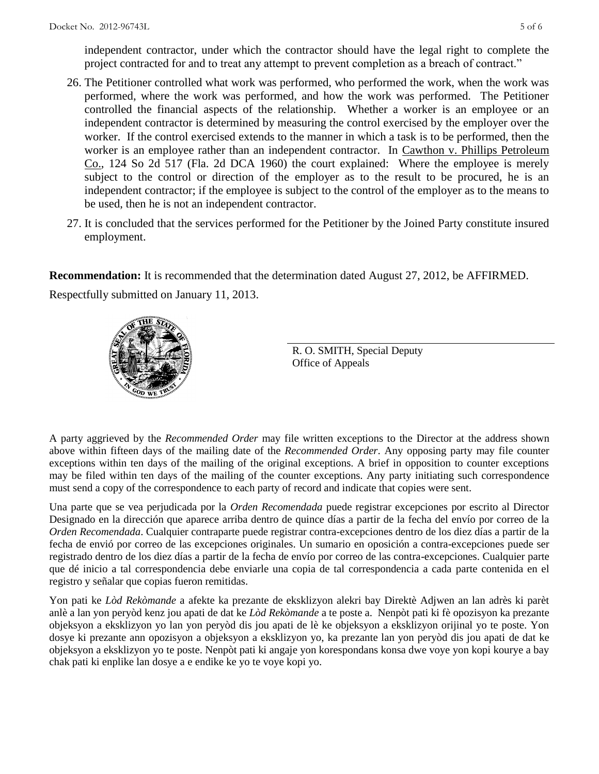independent contractor, under which the contractor should have the legal right to complete the project contracted for and to treat any attempt to prevent completion as a breach of contract."

- 26. The Petitioner controlled what work was performed, who performed the work, when the work was performed, where the work was performed, and how the work was performed. The Petitioner controlled the financial aspects of the relationship. Whether a worker is an employee or an independent contractor is determined by measuring the control exercised by the employer over the worker. If the control exercised extends to the manner in which a task is to be performed, then the worker is an employee rather than an independent contractor. In Cawthon v. Phillips Petroleum Co., 124 So 2d 517 (Fla. 2d DCA 1960) the court explained: Where the employee is merely subject to the control or direction of the employer as to the result to be procured, he is an independent contractor; if the employee is subject to the control of the employer as to the means to be used, then he is not an independent contractor.
- 27. It is concluded that the services performed for the Petitioner by the Joined Party constitute insured employment.

**Recommendation:** It is recommended that the determination dated August 27, 2012, be AFFIRMED.

Respectfully submitted on January 11, 2013.



R. O. SMITH, Special Deputy Office of Appeals

A party aggrieved by the *Recommended Order* may file written exceptions to the Director at the address shown above within fifteen days of the mailing date of the *Recommended Order*. Any opposing party may file counter exceptions within ten days of the mailing of the original exceptions. A brief in opposition to counter exceptions may be filed within ten days of the mailing of the counter exceptions. Any party initiating such correspondence must send a copy of the correspondence to each party of record and indicate that copies were sent.

Una parte que se vea perjudicada por la *Orden Recomendada* puede registrar excepciones por escrito al Director Designado en la dirección que aparece arriba dentro de quince días a partir de la fecha del envío por correo de la *Orden Recomendada*. Cualquier contraparte puede registrar contra-excepciones dentro de los diez días a partir de la fecha de envió por correo de las excepciones originales. Un sumario en oposición a contra-excepciones puede ser registrado dentro de los diez días a partir de la fecha de envío por correo de las contra-excepciones. Cualquier parte que dé inicio a tal correspondencia debe enviarle una copia de tal correspondencia a cada parte contenida en el registro y señalar que copias fueron remitidas.

Yon pati ke *Lòd Rekòmande* a afekte ka prezante de eksklizyon alekri bay Direktè Adjwen an lan adrès ki parèt anlè a lan yon peryòd kenz jou apati de dat ke *Lòd Rekòmande* a te poste a. Nenpòt pati ki fè opozisyon ka prezante objeksyon a eksklizyon yo lan yon peryòd dis jou apati de lè ke objeksyon a eksklizyon orijinal yo te poste. Yon dosye ki prezante ann opozisyon a objeksyon a eksklizyon yo, ka prezante lan yon peryòd dis jou apati de dat ke objeksyon a eksklizyon yo te poste. Nenpòt pati ki angaje yon korespondans konsa dwe voye yon kopi kourye a bay chak pati ki enplike lan dosye a e endike ke yo te voye kopi yo.